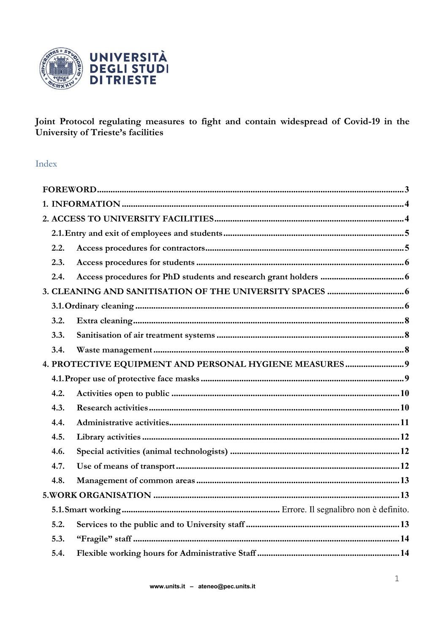

Joint Protocol regulating measures to fight and contain widespread of Covid-19 in the University of Trieste's facilities

### Index

| 2.2. |                                                        |  |  |
|------|--------------------------------------------------------|--|--|
| 2.3. |                                                        |  |  |
| 2.4. |                                                        |  |  |
|      |                                                        |  |  |
|      |                                                        |  |  |
| 3.2. |                                                        |  |  |
| 3.3. |                                                        |  |  |
| 3.4. |                                                        |  |  |
|      | 4. PROTECTIVE EQUIPMENT AND PERSONAL HYGIENE MEASURES9 |  |  |
|      |                                                        |  |  |
| 4.2. |                                                        |  |  |
| 4.3. |                                                        |  |  |
| 4.4. |                                                        |  |  |
| 4.5. |                                                        |  |  |
| 4.6. |                                                        |  |  |
| 4.7. |                                                        |  |  |
| 4.8. |                                                        |  |  |
|      |                                                        |  |  |
|      |                                                        |  |  |
| 5.2. |                                                        |  |  |
| 5.3. |                                                        |  |  |
| 5.4. |                                                        |  |  |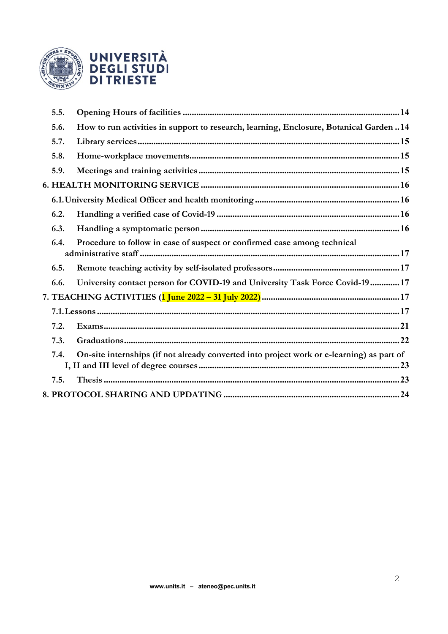

| 5.5. |                                                                                            |  |
|------|--------------------------------------------------------------------------------------------|--|
| 5.6. | How to run activities in support to research, learning, Enclosure, Botanical Garden  14    |  |
| 5.7. |                                                                                            |  |
| 5.8. |                                                                                            |  |
| 5.9. |                                                                                            |  |
|      |                                                                                            |  |
|      |                                                                                            |  |
| 6.2. |                                                                                            |  |
| 6.3. |                                                                                            |  |
| 6.4. | Procedure to follow in case of suspect or confirmed case among technical                   |  |
| 6.5. |                                                                                            |  |
| 6.6. | University contact person for COVID-19 and University Task Force Covid-19  17              |  |
|      | 7. TEACHING ACTIVITIES ( <mark>1 June 2022 – 31 July 2022)</mark> …………………………………………………………17 |  |
|      |                                                                                            |  |
| 7.2. |                                                                                            |  |
| 7.3. |                                                                                            |  |
| 7.4. | On-site internships (if not already converted into project work or e-learning) as part of  |  |
| 7.5. |                                                                                            |  |
|      |                                                                                            |  |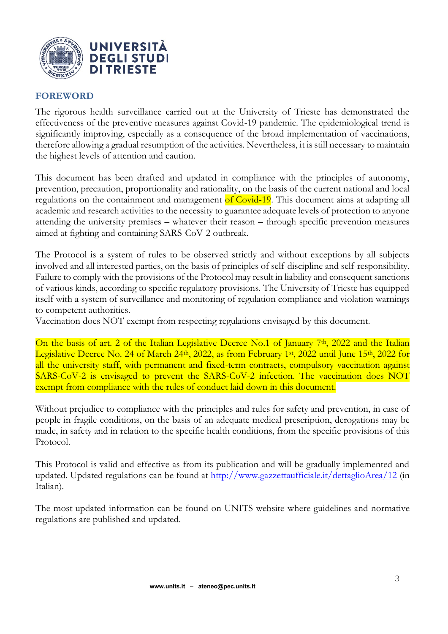

#### <span id="page-2-0"></span>**FOREWORD**

The rigorous health surveillance carried out at the University of Trieste has demonstrated the effectiveness of the preventive measures against Covid-19 pandemic. The epidemiological trend is significantly improving, especially as a consequence of the broad implementation of vaccinations, therefore allowing a gradual resumption of the activities. Nevertheless, it is still necessary to maintain the highest levels of attention and caution.

This document has been drafted and updated in compliance with the principles of autonomy, prevention, precaution, proportionality and rationality, on the basis of the current national and local regulations on the containment and management of Covid-19. This document aims at adapting all academic and research activities to the necessity to guarantee adequate levels of protection to anyone attending the university premises – whatever their reason – through specific prevention measures aimed at fighting and containing SARS-CoV-2 outbreak.

The Protocol is a system of rules to be observed strictly and without exceptions by all subjects involved and all interested parties, on the basis of principles of self-discipline and self-responsibility. Failure to comply with the provisions of the Protocol may result in liability and consequent sanctions of various kinds, according to specific regulatory provisions. The University of Trieste has equipped itself with a system of surveillance and monitoring of regulation compliance and violation warnings to competent authorities.

Vaccination does NOT exempt from respecting regulations envisaged by this document.

On the basis of art. 2 of the Italian Legislative Decree No.1 of January 7<sup>th</sup>, 2022 and the Italian Legislative Decree No. 24 of March 24<sup>th</sup>, 2022, as from February 1<sup>st</sup>, 2022 until June 15<sup>th</sup>, 2022 for all the university staff, with permanent and fixed-term contracts, compulsory vaccination against SARS-CoV-2 is envisaged to prevent the SARS-CoV-2 infection. The vaccination does NOT exempt from compliance with the rules of conduct laid down in this document.

Without prejudice to compliance with the principles and rules for safety and prevention, in case of people in fragile conditions, on the basis of an adequate medical prescription, derogations may be made, in safety and in relation to the specific health conditions, from the specific provisions of this Protocol.

This Protocol is valid and effective as from its publication and will be gradually implemented and updated. Updated regulations can be found at<http://www.gazzettaufficiale.it/dettaglioArea/12> (in Italian).

The most updated information can be found on UNITS website where guidelines and normative regulations are published and updated.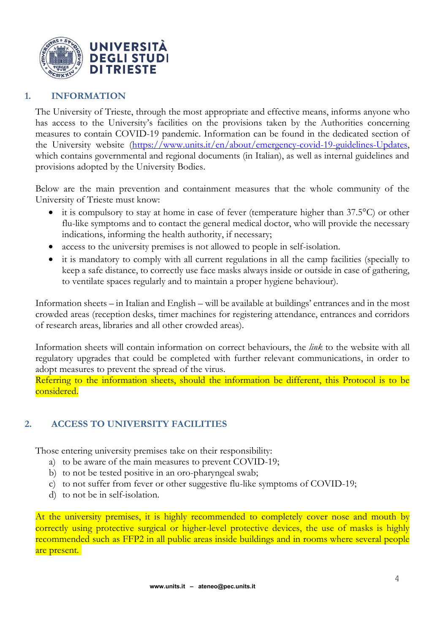

# <span id="page-3-0"></span>**1. INFORMATION**

The University of Trieste, through the most appropriate and effective means, informs anyone who has access to the University's facilities on the provisions taken by the Authorities concerning measures to contain COVID-19 pandemic. Information can be found in the dedicated section of the University website [\(https://www.units.it/en/about/emergency-covid-19-guidelines-Updates,](https://www.units.it/en/about/emergency-covid-19-guidelines-Updates) which contains governmental and regional documents (in Italian), as well as internal guidelines and provisions adopted by the University Bodies.

Below are the main prevention and containment measures that the whole community of the University of Trieste must know:

- it is compulsory to stay at home in case of fever (temperature higher than 37.5<sup>o</sup>C) or other flu-like symptoms and to contact the general medical doctor, who will provide the necessary indications, informing the health authority, if necessary;
- access to the university premises is not allowed to people in self-isolation.
- it is mandatory to comply with all current regulations in all the camp facilities (specially to keep a safe distance, to correctly use face masks always inside or outside in case of gathering, to ventilate spaces regularly and to maintain a proper hygiene behaviour).

Information sheets – in Italian and English – will be available at buildings' entrances and in the most crowded areas (reception desks, timer machines for registering attendance, entrances and corridors of research areas, libraries and all other crowded areas).

Information sheets will contain information on correct behaviours, the *link* to the website with all regulatory upgrades that could be completed with further relevant communications, in order to adopt measures to prevent the spread of the virus.

Referring to the information sheets, should the information be different, this Protocol is to be considered.

# <span id="page-3-1"></span>**2. ACCESS TO UNIVERSITY FACILITIES**

Those entering university premises take on their responsibility:

- a) to be aware of the main measures to prevent COVID-19;
- b) to not be tested positive in an oro-pharyngeal swab;
- c) to not suffer from fever or other suggestive flu-like symptoms of COVID-19;
- d) to not be in self-isolation.

At the university premises, it is highly recommended to completely cover nose and mouth by correctly using protective surgical or higher-level protective devices, the use of masks is highly recommended such as FFP2 in all public areas inside buildings and in rooms where several people are present.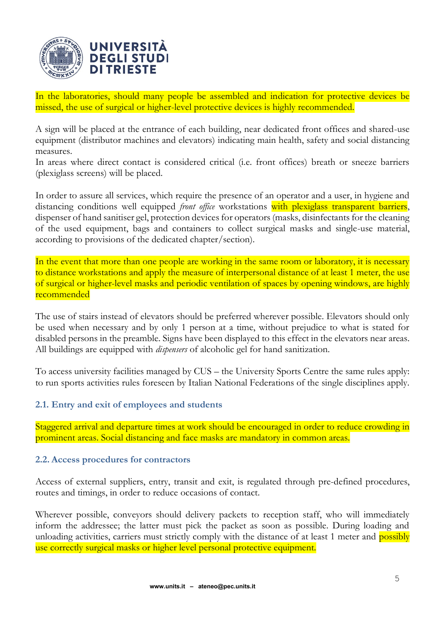

In the laboratories, should many people be assembled and indication for protective devices be missed, the use of surgical or higher-level protective devices is highly recommended.

A sign will be placed at the entrance of each building, near dedicated front offices and shared-use equipment (distributor machines and elevators) indicating main health, safety and social distancing measures.

In areas where direct contact is considered critical (i.e. front offices) breath or sneeze barriers (plexiglass screens) will be placed.

In order to assure all services, which require the presence of an operator and a user, in hygiene and distancing conditions well equipped *front office* workstations with plexiglass transparent barriers, dispenser of hand sanitiser gel, protection devices for operators (masks, disinfectants for the cleaning of the used equipment, bags and containers to collect surgical masks and single-use material, according to provisions of the dedicated chapter/section).

In the event that more than one people are working in the same room or laboratory, it is necessary to distance workstations and apply the measure of interpersonal distance of at least 1 meter, the use of surgical or higher-level masks and periodic ventilation of spaces by opening windows, are highly recommended

The use of stairs instead of elevators should be preferred wherever possible. Elevators should only be used when necessary and by only 1 person at a time, without prejudice to what is stated for disabled persons in the preamble. Signs have been displayed to this effect in the elevators near areas. All buildings are equipped with *dispensers* of alcoholic gel for hand sanitization.

To access university facilities managed by CUS – the University Sports Centre the same rules apply: to run sports activities rules foreseen by Italian National Federations of the single disciplines apply.

# <span id="page-4-0"></span>**2.1. Entry and exit of employees and students**

Staggered arrival and departure times at work should be encouraged in order to reduce crowding in prominent areas. Social distancing and face masks are mandatory in common areas.

### <span id="page-4-1"></span>**2.2. Access procedures for contractors**

Access of external suppliers, entry, transit and exit, is regulated through pre-defined procedures, routes and timings, in order to reduce occasions of contact.

Wherever possible, conveyors should delivery packets to reception staff, who will immediately inform the addressee; the latter must pick the packet as soon as possible. During loading and unloading activities, carriers must strictly comply with the distance of at least 1 meter and possibly use correctly surgical masks or higher level personal protective equipment.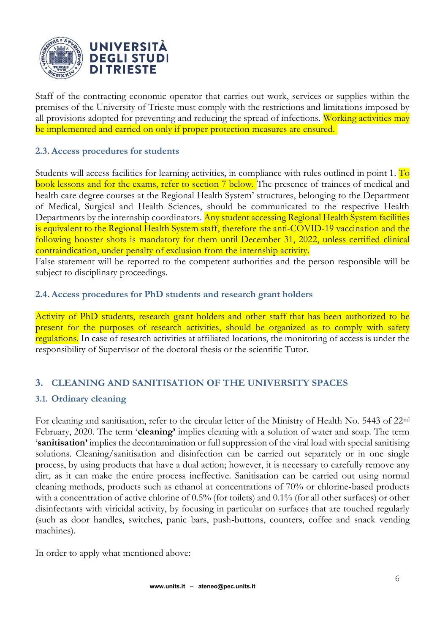

Staff of the contracting economic operator that carries out work, services or supplies within the premises of the University of Trieste must comply with the restrictions and limitations imposed by all provisions adopted for preventing and reducing the spread of infections. Working activities may be implemented and carried on only if proper protection measures are ensured.

### <span id="page-5-0"></span>**2.3. Access procedures for students**

Students will access facilities for learning activities, in compliance with rules outlined in point 1. To book lessons and for the exams, refer to section 7 below. The presence of trainees of medical and health care degree courses at the Regional Health System' structures, belonging to the Department of Medical, Surgical and Health Sciences, should be communicated to the respective Health Departments by the internship coordinators. Any student accessing Regional Health System facilities is equivalent to the Regional Health System staff, therefore the anti-COVID-19 vaccination and the following booster shots is mandatory for them until December 31, 2022, unless certified clinical contraindication, under penalty of exclusion from the internship activity.

False statement will be reported to the competent authorities and the person responsible will be subject to disciplinary proceedings.

### <span id="page-5-1"></span>**2.4. Access procedures for PhD students and research grant holders**

Activity of PhD students, research grant holders and other staff that has been authorized to be present for the purposes of research activities, should be organized as to comply with safety regulations. In case of research activities at affiliated locations, the monitoring of access is under the responsibility of Supervisor of the doctoral thesis or the scientific Tutor.

# <span id="page-5-2"></span>**3. CLEANING AND SANITISATION OF THE UNIVERSITY SPACES**

### <span id="page-5-3"></span>**3.1. Ordinary cleaning**

For cleaning and sanitisation, refer to the circular letter of the Ministry of Health No. 5443 of 22nd February, 2020. The term '**cleaning'** implies cleaning with a solution of water and soap. The term '**sanitisation'** implies the decontamination or full suppression of the viral load with special sanitising solutions. Cleaning/sanitisation and disinfection can be carried out separately or in one single process, by using products that have a dual action; however, it is necessary to carefully remove any dirt, as it can make the entire process ineffective. Sanitisation can be carried out using normal cleaning methods, products such as ethanol at concentrations of 70% or chlorine-based products with a concentration of active chlorine of 0.5% (for toilets) and 0.1% (for all other surfaces) or other disinfectants with viricidal activity, by focusing in particular on surfaces that are touched regularly (such as door handles, switches, panic bars, push-buttons, counters, coffee and snack vending machines).

In order to apply what mentioned above: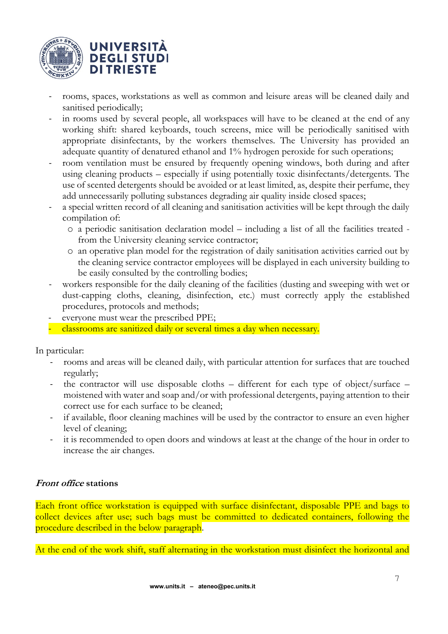

- rooms, spaces, workstations as well as common and leisure areas will be cleaned daily and sanitised periodically;
- in rooms used by several people, all workspaces will have to be cleaned at the end of any working shift: shared keyboards, touch screens, mice will be periodically sanitised with appropriate disinfectants, by the workers themselves. The University has provided an adequate quantity of denatured ethanol and 1% hydrogen peroxide for such operations;
- room ventilation must be ensured by frequently opening windows, both during and after using cleaning products – especially if using potentially toxic disinfectants/detergents. The use of scented detergents should be avoided or at least limited, as, despite their perfume, they add unnecessarily polluting substances degrading air quality inside closed spaces;
- a special written record of all cleaning and sanitisation activities will be kept through the daily compilation of:
	- o a periodic sanitisation declaration model including a list of all the facilities treated from the University cleaning service contractor;
	- o an operative plan model for the registration of daily sanitisation activities carried out by the cleaning service contractor employees will be displayed in each university building to be easily consulted by the controlling bodies;
- workers responsible for the daily cleaning of the facilities (dusting and sweeping with wet or dust-capping cloths, cleaning, disinfection, etc.) must correctly apply the established procedures, protocols and methods;
- everyone must wear the prescribed PPE;
- classrooms are sanitized daily or several times a day when necessary.

In particular:

- rooms and areas will be cleaned daily, with particular attention for surfaces that are touched regularly;
- the contractor will use disposable cloths different for each type of object/surface moistened with water and soap and/or with professional detergents, paying attention to their correct use for each surface to be cleaned;
- if available, floor cleaning machines will be used by the contractor to ensure an even higher level of cleaning;
- it is recommended to open doors and windows at least at the change of the hour in order to increase the air changes.

### **Front office stations**

Each front office workstation is equipped with surface disinfectant, disposable PPE and bags to collect devices after use; such bags must be committed to dedicated containers, following the procedure described in the below paragraph.

At the end of the work shift, staff alternating in the workstation must disinfect the horizontal and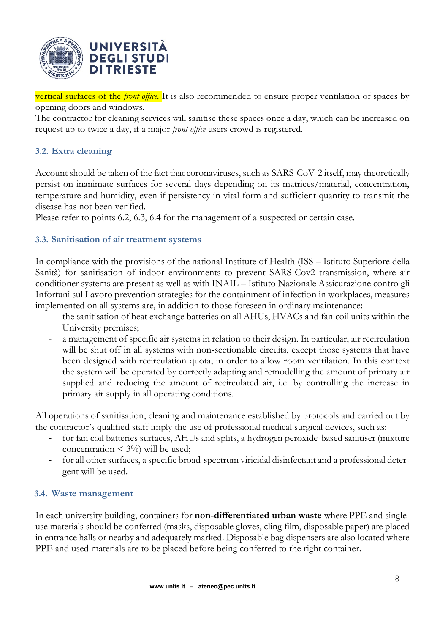

vertical surfaces of the *front office.* It is also recommended to ensure proper ventilation of spaces by opening doors and windows.

The contractor for cleaning services will sanitise these spaces once a day, which can be increased on request up to twice a day, if a major *front office* users crowd is registered.

# <span id="page-7-0"></span>**3.2. Extra cleaning**

Account should be taken of the fact that coronaviruses, such as SARS-CoV-2 itself, may theoretically persist on inanimate surfaces for several days depending on its matrices/material, concentration, temperature and humidity, even if persistency in vital form and sufficient quantity to transmit the disease has not been verified.

Please refer to points 6.2, 6.3, 6.4 for the management of a suspected or certain case.

### <span id="page-7-1"></span>**3.3. Sanitisation of air treatment systems**

In compliance with the provisions of the national Institute of Health (ISS – Istituto Superiore della Sanità) for sanitisation of indoor environments to prevent SARS-Cov2 transmission, where air conditioner systems are present as well as with INAIL – Istituto Nazionale Assicurazione contro gli Infortuni sul Lavoro prevention strategies for the containment of infection in workplaces, measures implemented on all systems are, in addition to those foreseen in ordinary maintenance:

- the sanitisation of heat exchange batteries on all AHUs, HVACs and fan coil units within the University premises;
- a management of specific air systems in relation to their design. In particular, air recirculation will be shut off in all systems with non-sectionable circuits, except those systems that have been designed with recirculation quota, in order to allow room ventilation. In this context the system will be operated by correctly adapting and remodelling the amount of primary air supplied and reducing the amount of recirculated air, i.e. by controlling the increase in primary air supply in all operating conditions.

All operations of sanitisation, cleaning and maintenance established by protocols and carried out by the contractor's qualified staff imply the use of professional medical surgical devices, such as:

- for fan coil batteries surfaces, AHUs and splits, a hydrogen peroxide-based sanitiser (mixture concentration  $\leq 3\%$ ) will be used;
- for all other surfaces, a specific broad-spectrum viricidal disinfectant and a professional detergent will be used.

### <span id="page-7-2"></span>**3.4. Waste management**

In each university building, containers for **non-differentiated urban waste** where PPE and singleuse materials should be conferred (masks, disposable gloves, cling film, disposable paper) are placed in entrance halls or nearby and adequately marked. Disposable bag dispensers are also located where PPE and used materials are to be placed before being conferred to the right container.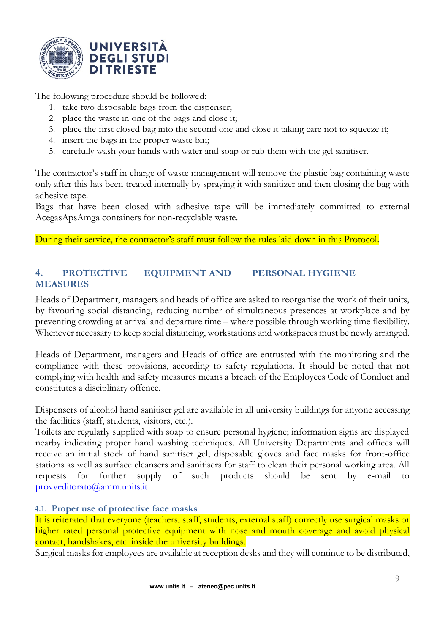

The following procedure should be followed:

- 1. take two disposable bags from the dispenser;
- 2. place the waste in one of the bags and close it;
- 3. place the first closed bag into the second one and close it taking care not to squeeze it;
- 4. insert the bags in the proper waste bin;
- 5. carefully wash your hands with water and soap or rub them with the gel sanitiser.

The contractor's staff in charge of waste management will remove the plastic bag containing waste only after this has been treated internally by spraying it with sanitizer and then closing the bag with adhesive tape.

Bags that have been closed with adhesive tape will be immediately committed to external AcegasApsAmga containers for non-recyclable waste.

During their service, the contractor's staff must follow the rules laid down in this Protocol.

### <span id="page-8-0"></span>**4. PROTECTIVE EQUIPMENT AND PERSONAL HYGIENE MEASURES**

Heads of Department, managers and heads of office are asked to reorganise the work of their units, by favouring social distancing, reducing number of simultaneous presences at workplace and by preventing crowding at arrival and departure time – where possible through working time flexibility. Whenever necessary to keep social distancing, workstations and workspaces must be newly arranged.

Heads of Department, managers and Heads of office are entrusted with the monitoring and the compliance with these provisions, according to safety regulations. It should be noted that not complying with health and safety measures means a breach of the Employees Code of Conduct and constitutes a disciplinary offence.

Dispensers of alcohol hand sanitiser gel are available in all university buildings for anyone accessing the facilities (staff, students, visitors, etc.).

Toilets are regularly supplied with soap to ensure personal hygiene; information signs are displayed nearby indicating proper hand washing techniques. All University Departments and offices will receive an initial stock of hand sanitiser gel, disposable gloves and face masks for front-office stations as well as surface cleansers and sanitisers for staff to clean their personal working area. All requests for further supply of such products should be sent by e-mail to [provveditorato@amm.units.it](mailto:provveditorato@amm.units.it)

### <span id="page-8-1"></span>**4.1. Proper use of protective face masks**

It is reiterated that everyone (teachers, staff, students, external staff) correctly use surgical masks or higher rated personal protective equipment with nose and mouth coverage and avoid physical contact, handshakes, etc. inside the university buildings.

Surgical masks for employees are available at reception desks and they will continue to be distributed,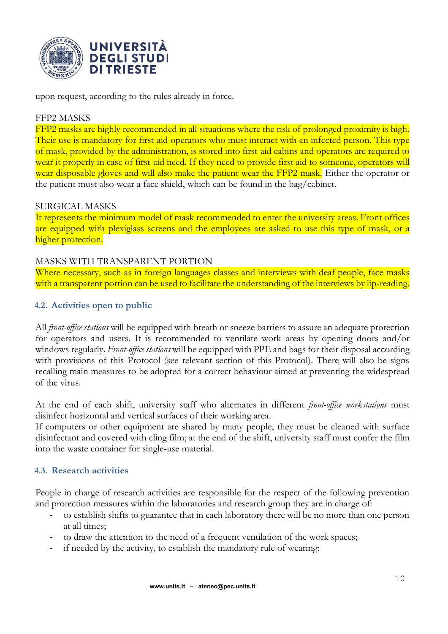

upon request, according to the rules already in force.

### FFP2 MASKS

FFP2 masks are highly recommended in all situations where the risk of prolonged proximity is high. Their use is mandatory for first-aid operators who must interact with an infected person. This type of mask, provided by the administration, is stored into first-aid cabins and operators are required to wear it properly in case of first-aid need. If they need to provide first aid to someone, operators will wear disposable gloves and will also make the patient wear the FFP2 mask. Either the operator or the patient must also wear a face shield, which can be found in the bag/cabinet.

#### SURGICAL MASKS

It represents the minimum model of mask recommended to enter the university areas. Front offices are equipped with plexiglass screens and the employees are asked to use this type of mask, or a higher protection.

#### MASKS WITH TRANSPARENT PORTION

Where necessary, such as in foreign languages classes and interviews with deaf people, face masks with a transparent portion can be used to facilitate the understanding of the interviews by lip-reading.

#### <span id="page-9-0"></span>**4.2. Activities open to public**

All *front-office stations* will be equipped with breath or sneeze barriers to assure an adequate protection for operators and users. It is recommended to ventilate work areas by opening doors and/or windows regularly. *Front-office stations* will be equipped with PPE and bags for their disposal according with provisions of this Protocol (see relevant section of this Protocol). There will also be signs recalling main measures to be adopted for a correct behaviour aimed at preventing the widespread of the virus.

At the end of each shift, university staff who alternates in different *front-office workstations* must disinfect horizontal and vertical surfaces of their working area.

If computers or other equipment are shared by many people, they must be cleaned with surface disinfectant and covered with cling film; at the end of the shift, university staff must confer the film into the waste container for single-use material.

#### <span id="page-9-1"></span>**4.3. Research activities**

People in charge of research activities are responsible for the respect of the following prevention and protection measures within the laboratories and research group they are in charge of:

- to establish shifts to guarantee that in each laboratory there will be no more than one person at all times;
- to draw the attention to the need of a frequent ventilation of the work spaces;
- if needed by the activity, to establish the mandatory rule of wearing: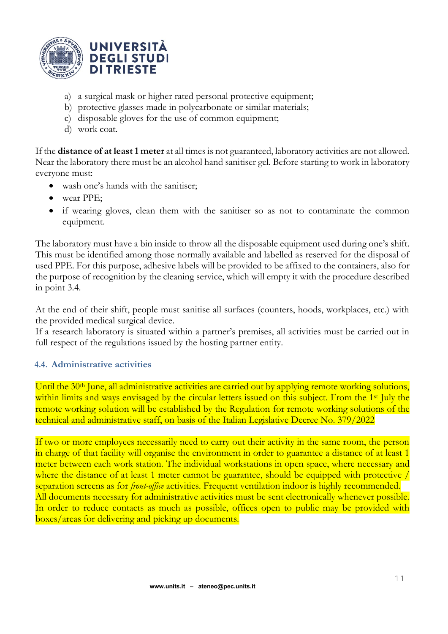

- a) a surgical mask or higher rated personal protective equipment;
- b) protective glasses made in polycarbonate or similar materials;
- c) disposable gloves for the use of common equipment;
- d) work coat.

If the **distance of at least 1 meter** at all times is not guaranteed, laboratory activities are not allowed. Near the laboratory there must be an alcohol hand sanitiser gel. Before starting to work in laboratory everyone must:

- wash one's hands with the sanitiser;
- wear PPE:
- if wearing gloves, clean them with the sanitiser so as not to contaminate the common equipment.

The laboratory must have a bin inside to throw all the disposable equipment used during one's shift. This must be identified among those normally available and labelled as reserved for the disposal of used PPE. For this purpose, adhesive labels will be provided to be affixed to the containers, also for the purpose of recognition by the cleaning service, which will empty it with the procedure described in point 3.4.

At the end of their shift, people must sanitise all surfaces (counters, hoods, workplaces, etc.) with the provided medical surgical device.

If a research laboratory is situated within a partner's premises, all activities must be carried out in full respect of the regulations issued by the hosting partner entity.

### <span id="page-10-0"></span>**4.4. Administrative activities**

Until the 30<sup>th</sup> June, all administrative activities are carried out by applying remote working solutions, within limits and ways envisaged by the circular letters issued on this subject. From the 1<sup>st</sup> July the remote working solution will be established by the Regulation for remote working solutions of the technical and administrative staff, on basis of the Italian Legislative Decree No. 379/2022

If two or more employees necessarily need to carry out their activity in the same room, the person in charge of that facility will organise the environment in order to guarantee a distance of at least 1 meter between each work station. The individual workstations in open space, where necessary and where the distance of at least 1 meter cannot be guarantee, should be equipped with protective / separation screens as for *front-office* activities. Frequent ventilation indoor is highly recommended. All documents necessary for administrative activities must be sent electronically whenever possible. In order to reduce contacts as much as possible, offices open to public may be provided with boxes/areas for delivering and picking up documents.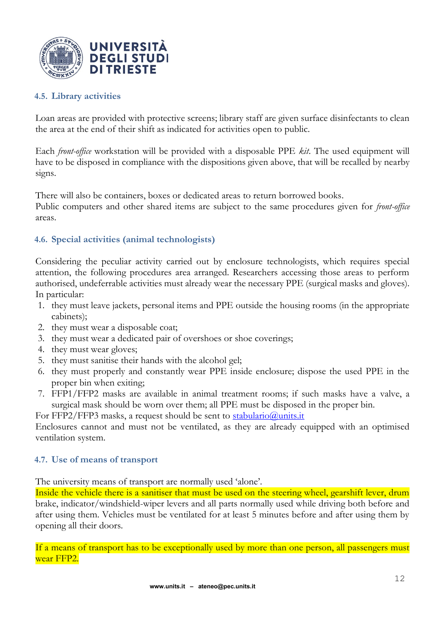

### <span id="page-11-0"></span>**4.5. Library activities**

Loan areas are provided with protective screens; library staff are given surface disinfectants to clean the area at the end of their shift as indicated for activities open to public.

Each *front-office* workstation will be provided with a disposable PPE *kit*. The used equipment will have to be disposed in compliance with the dispositions given above, that will be recalled by nearby signs.

There will also be containers, boxes or dedicated areas to return borrowed books.

Public computers and other shared items are subject to the same procedures given for *front-office* areas.

### <span id="page-11-1"></span>**4.6. Special activities (animal technologists)**

Considering the peculiar activity carried out by enclosure technologists, which requires special attention, the following procedures area arranged. Researchers accessing those areas to perform authorised, undeferrable activities must already wear the necessary PPE (surgical masks and gloves). In particular:

- 1. they must leave jackets, personal items and PPE outside the housing rooms (in the appropriate cabinets);
- 2. they must wear a disposable coat;
- 3. they must wear a dedicated pair of overshoes or shoe coverings;
- 4. they must wear gloves;
- 5. they must sanitise their hands with the alcohol gel;
- 6. they must properly and constantly wear PPE inside enclosure; dispose the used PPE in the proper bin when exiting;
- 7. FFP1/FFP2 masks are available in animal treatment rooms; if such masks have a valve, a surgical mask should be worn over them; all PPE must be disposed in the proper bin.

For FFP2/FFP3 masks, a request should be sent to [stabulario@units.it](mailto:stabulario@units.it)

Enclosures cannot and must not be ventilated, as they are already equipped with an optimised ventilation system.

#### <span id="page-11-2"></span>**4.7. Use of means of transport**

The university means of transport are normally used 'alone'.

Inside the vehicle there is a sanitiser that must be used on the steering wheel, gearshift lever, drum brake, indicator/windshield-wiper levers and all parts normally used while driving both before and after using them. Vehicles must be ventilated for at least 5 minutes before and after using them by opening all their doors.

If a means of transport has to be exceptionally used by more than one person, all passengers must wear FFP2.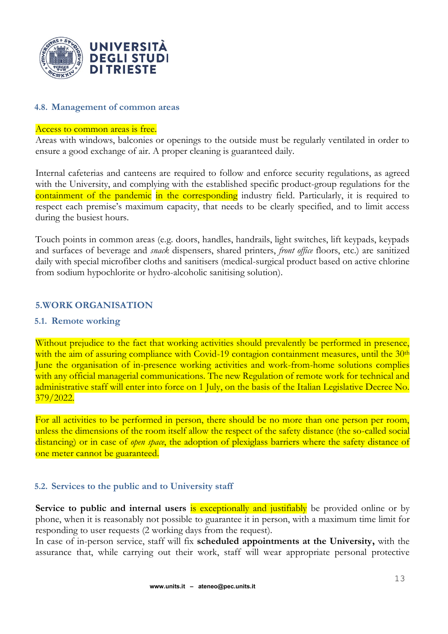

### <span id="page-12-0"></span>**4.8. Management of common areas**

#### Access to common areas is free.

Areas with windows, balconies or openings to the outside must be regularly ventilated in order to ensure a good exchange of air. A proper cleaning is guaranteed daily.

Internal cafeterias and canteens are required to follow and enforce security regulations, as agreed with the University, and complying with the established specific product-group regulations for the containment of the pandemic in the corresponding industry field. Particularly, it is required to respect each premise's maximum capacity, that needs to be clearly specified, and to limit access during the busiest hours.

Touch points in common areas (e.g. doors, handles, handrails, light switches, lift keypads, keypads and surfaces of beverage and *snack* dispensers, shared printers, *front office* floors, etc.) are sanitized daily with special microfiber cloths and sanitisers (medical-surgical product based on active chlorine from sodium hypochlorite or hydro-alcoholic sanitising solution).

#### <span id="page-12-1"></span>**5.WORK ORGANISATION**

#### **5.1. Remote working**

Without prejudice to the fact that working activities should prevalently be performed in presence, with the aim of assuring compliance with Covid-19 contagion containment measures, until the 30<sup>th</sup> June the organisation of in-presence working activities and work-from-home solutions complies with any official managerial communications. The new Regulation of remote work for technical and administrative staff will enter into force on 1 July, on the basis of the Italian Legislative Decree No. 379/2022.

For all activities to be performed in person, there should be no more than one person per room, unless the dimensions of the room itself allow the respect of the safety distance (the so-called social distancing) or in case of *open space*, the adoption of plexiglass barriers where the safety distance of one meter cannot be guaranteed.

#### <span id="page-12-2"></span>**5.2. Services to the public and to University staff**

**Service to public and internal users is exceptionally and justifiably** be provided online or by phone, when it is reasonably not possible to guarantee it in person, with a maximum time limit for responding to user requests (2 working days from the request).

In case of in-person service, staff will fix **scheduled appointments at the University,** with the assurance that, while carrying out their work, staff will wear appropriate personal protective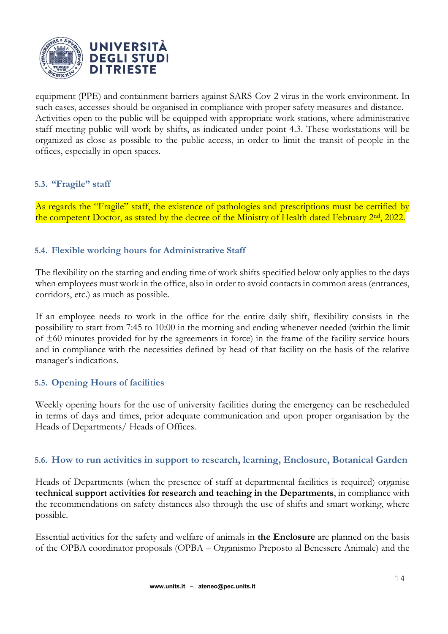

equipment (PPE) and containment barriers against SARS-Cov-2 virus in the work environment. In such cases, accesses should be organised in compliance with proper safety measures and distance. Activities open to the public will be equipped with appropriate work stations, where administrative staff meeting public will work by shifts, as indicated under point 4.3. These workstations will be organized as close as possible to the public access, in order to limit the transit of people in the offices, especially in open spaces.

### <span id="page-13-0"></span>**5.3. "Fragile" staff**

As regards the "Fragile" staff, the existence of pathologies and prescriptions must be certified by the competent Doctor, as stated by the decree of the Ministry of Health dated February 2<sup>nd</sup>, 2022.

# <span id="page-13-1"></span>**5.4. Flexible working hours for Administrative Staff**

The flexibility on the starting and ending time of work shifts specified below only applies to the days when employees must work in the office, also in order to avoid contacts in common areas (entrances, corridors, etc.) as much as possible.

If an employee needs to work in the office for the entire daily shift, flexibility consists in the possibility to start from 7:45 to 10:00 in the morning and ending whenever needed (within the limit of ±60 minutes provided for by the agreements in force) in the frame of the facility service hours and in compliance with the necessities defined by head of that facility on the basis of the relative manager's indications.

### <span id="page-13-2"></span>**5.5. Opening Hours of facilities**

Weekly opening hours for the use of university facilities during the emergency can be rescheduled in terms of days and times, prior adequate communication and upon proper organisation by the Heads of Departments/ Heads of Offices.

### <span id="page-13-3"></span>**5.6. How to run activities in support to research, learning, Enclosure, Botanical Garden**

Heads of Departments (when the presence of staff at departmental facilities is required) organise **technical support activities for research and teaching in the Departments**, in compliance with the recommendations on safety distances also through the use of shifts and smart working, where possible.

Essential activities for the safety and welfare of animals in **the Enclosure** are planned on the basis of the OPBA coordinator proposals (OPBA – Organismo Preposto al Benessere Animale) and the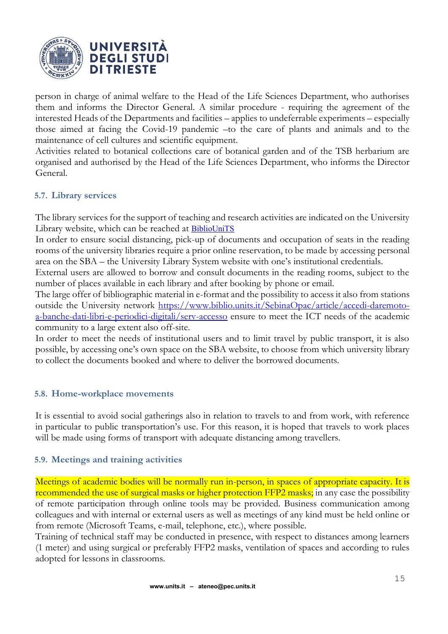![](_page_14_Picture_0.jpeg)

person in charge of animal welfare to the Head of the Life Sciences Department, who authorises them and informs the Director General. A similar procedure - requiring the agreement of the interested Heads of the Departments and facilities – applies to undeferrable experiments – especially those aimed at facing the Covid-19 pandemic –to the care of plants and animals and to the maintenance of cell cultures and scientific equipment.

Activities related to botanical collections care of botanical garden and of the TSB herbarium are organised and authorised by the Head of the Life Sciences Department, who informs the Director General.

### <span id="page-14-0"></span>**5.7. Library services**

The library services for the support of teaching and research activities are indicated on the University Library website, which can be reached at **[BiblioUniTS](https://www.biblio.units.it/SebinaOpac/.do?locale=eng)** 

In order to ensure social distancing, pick-up of documents and occupation of seats in the reading rooms of the university libraries require a prior online reservation, to be made by accessing personal area on the SBA – the University Library System website with one's institutional credentials.

External users are allowed to borrow and consult documents in the reading rooms, subject to the number of places available in each library and after booking by phone or email.

The large offer of bibliographic material in e-format and the possibility to access it also from stations outside the University network [https://www.biblio.units.it/SebinaOpac/article/accedi-daremoto](https://www.biblio.units.it/SebinaOpac/article/accedi-daremoto-a-banche-dati-libri-e-periodici-digitali/serv-accesso)[a-banche-dati-libri-e-periodici-digitali/serv-accesso](https://www.biblio.units.it/SebinaOpac/article/accedi-daremoto-a-banche-dati-libri-e-periodici-digitali/serv-accesso) ensure to meet the ICT needs of the academic community to a large extent also off-site.

In order to meet the needs of institutional users and to limit travel by public transport, it is also possible, by accessing one's own space on the SBA website, to choose from which university library to collect the documents booked and where to deliver the borrowed documents.

### <span id="page-14-1"></span>**5.8. Home-workplace movements**

It is essential to avoid social gatherings also in relation to travels to and from work, with reference in particular to public transportation's use. For this reason, it is hoped that travels to work places will be made using forms of transport with adequate distancing among travellers.

### <span id="page-14-2"></span>**5.9. Meetings and training activities**

Meetings of academic bodies will be normally run in-person, in spaces of appropriate capacity. It is recommended the use of surgical masks or higher protection FFP2 masks; in any case the possibility of remote participation through online tools may be provided. Business communication among colleagues and with internal or external users as well as meetings of any kind must be held online or from remote (Microsoft Teams, e-mail, telephone, etc.), where possible.

Training of technical staff may be conducted in presence, with respect to distances among learners (1 meter) and using surgical or preferably FFP2 masks, ventilation of spaces and according to rules adopted for lessons in classrooms.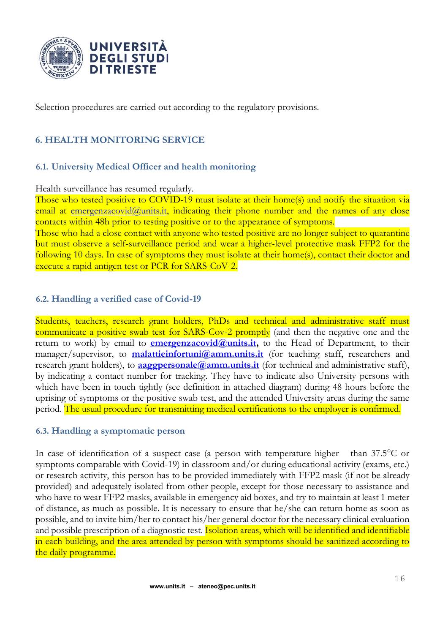![](_page_15_Picture_0.jpeg)

Selection procedures are carried out according to the regulatory provisions.

# <span id="page-15-0"></span>**6. HEALTH MONITORING SERVICE**

### <span id="page-15-1"></span>**6.1. University Medical Officer and health monitoring**

#### Health surveillance has resumed regularly.

Those who tested positive to COVID-19 must isolate at their home(s) and notify the situation via email at [emergenzacovid@units.it,](mailto:emergenzacovid@units.it) indicating their phone number and the names of any close contacts within 48h prior to testing positive or to the appearance of symptoms.

Those who had a close contact with anyone who tested positive are no longer subject to quarantine but must observe a self-surveillance period and wear a higher-level protective mask FFP2 for the following 10 days. In case of symptoms they must isolate at their home(s), contact their doctor and execute a rapid antigen test or PCR for SARS-CoV-2.

# <span id="page-15-2"></span>**6.2. Handling a verified case of Covid-19**

Students, teachers, research grant holders, PhDs and technical and administrative staff must communicate a positive swab test for SARS-Cov-2 promptly (and then the negative one and the return to work) by email to **emergenzacovid@units.it**, to the Head of Department, to their manager/supervisor, to **[malattieinfortuni@amm.units.it](mailto:malattieinfortuni@amm.units.it)** (for teaching staff, researchers and research grant holders), to **[aaggpersonale@amm.units.it](mailto:aaggpersonale@amm.units.it)** (for technical and administrative staff), by indicating a contact number for tracking. They have to indicate also University persons with which have been in touch tightly (see definition in attached diagram) during 48 hours before the uprising of symptoms or the positive swab test, and the attended University areas during the same period. The usual procedure for transmitting medical certifications to the employer is confirmed.

### <span id="page-15-3"></span>**6.3. Handling a symptomatic person**

In case of identification of a suspect case (a person with temperature higher than 37.5°C or symptoms comparable with Covid-19) in classroom and/or during educational activity (exams, etc.) or research activity, this person has to be provided immediately with FFP2 mask (if not be already provided) and adequately isolated from other people, except for those necessary to assistance and who have to wear FFP2 masks, available in emergency aid boxes, and try to maintain at least 1 meter of distance, as much as possible. It is necessary to ensure that he/she can return home as soon as possible, and to invite him/her to contact his/her general doctor for the necessary clinical evaluation and possible prescription of a diagnostic test. **Isolation areas, which will be identified and identifiable** in each building, and the area attended by person with symptoms should be sanitized according to the daily programme.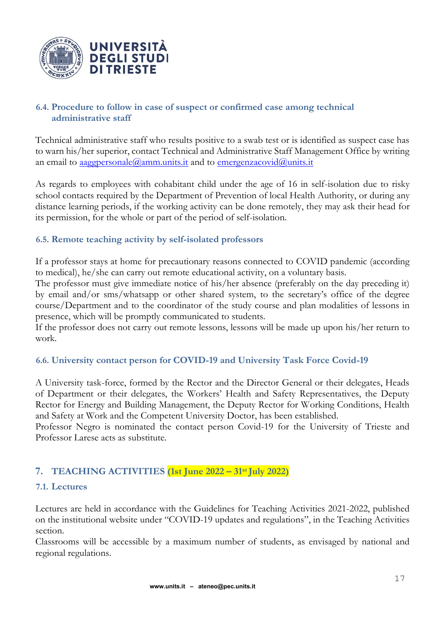![](_page_16_Picture_0.jpeg)

# <span id="page-16-0"></span>**6.4. Procedure to follow in case of suspect or confirmed case among technical administrative staff**

Technical administrative staff who results positive to a swab test or is identified as suspect case has to warn his/her superior, contact Technical and Administrative Staff Management Office by writing an email to [aaggpersonale@amm.units.it](mailto:aaggpersonale@amm.units.it) and to [emergenzacovid@units.it](mailto:emergenzacovid@units.it)

As regards to employees with cohabitant child under the age of 16 in self-isolation due to risky school contacts required by the Department of Prevention of local Health Authority, or during any distance learning periods, if the working activity can be done remotely, they may ask their head for its permission, for the whole or part of the period of self-isolation.

# <span id="page-16-1"></span>**6.5. Remote teaching activity by self-isolated professors**

If a professor stays at home for precautionary reasons connected to COVID pandemic (according to medical), he/she can carry out remote educational activity, on a voluntary basis.

The professor must give immediate notice of his/her absence (preferably on the day preceding it) by email and/or sms/whatsapp or other shared system, to the secretary's office of the degree course/Department and to the coordinator of the study course and plan modalities of lessons in presence, which will be promptly communicated to students.

If the professor does not carry out remote lessons, lessons will be made up upon his/her return to work.

# <span id="page-16-2"></span>**6.6. University contact person for COVID-19 and University Task Force Covid-19**

A University task-force, formed by the Rector and the Director General or their delegates, Heads of Department or their delegates, the Workers' Health and Safety Representatives, the Deputy Rector for Energy and Building Management, the Deputy Rector for Working Conditions, Health and Safety at Work and the Competent University Doctor, has been established.

Professor Negro is nominated the contact person Covid-19 for the University of Trieste and Professor Larese acts as substitute.

# <span id="page-16-3"></span>**7. TEACHING ACTIVITIES (1st June 2022 – 31stJuly 2022)**

### <span id="page-16-4"></span>**7.1. Lectures**

Lectures are held in accordance with the Guidelines for Teaching Activities 2021-2022, published on the institutional website under "COVID-19 updates and regulations", in the Teaching Activities section.

Classrooms will be accessible by a maximum number of students, as envisaged by national and regional regulations.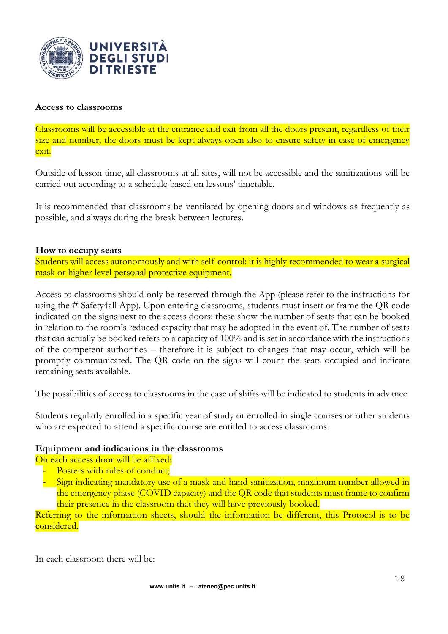![](_page_17_Picture_0.jpeg)

#### **Access to classrooms**

Classrooms will be accessible at the entrance and exit from all the doors present, regardless of their size and number; the doors must be kept always open also to ensure safety in case of emergency exit.

Outside of lesson time, all classrooms at all sites, will not be accessible and the sanitizations will be carried out according to a schedule based on lessons' timetable.

It is recommended that classrooms be ventilated by opening doors and windows as frequently as possible, and always during the break between lectures.

#### **How to occupy seats**

Students will access autonomously and with self-control: it is highly recommended to wear a surgical mask or higher level personal protective equipment.

Access to classrooms should only be reserved through the App (please refer to the instructions for using the # Safety4all App). Upon entering classrooms, students must insert or frame the QR code indicated on the signs next to the access doors: these show the number of seats that can be booked in relation to the room's reduced capacity that may be adopted in the event of. The number of seats that can actually be booked refers to a capacity of 100% and is set in accordance with the instructions of the competent authorities – therefore it is subject to changes that may occur, which will be promptly communicated. The QR code on the signs will count the seats occupied and indicate remaining seats available.

The possibilities of access to classrooms in the case of shifts will be indicated to students in advance.

Students regularly enrolled in a specific year of study or enrolled in single courses or other students who are expected to attend a specific course are entitled to access classrooms.

### **Equipment and indications in the classrooms**

On each access door will be affixed:

Posters with rules of conduct;

- Sign indicating mandatory use of a mask and hand sanitization, maximum number allowed in the emergency phase (COVID capacity) and the QR code that students must frame to confirm their presence in the classroom that they will have previously booked.

Referring to the information sheets, should the information be different, this Protocol is to be considered.

In each classroom there will be: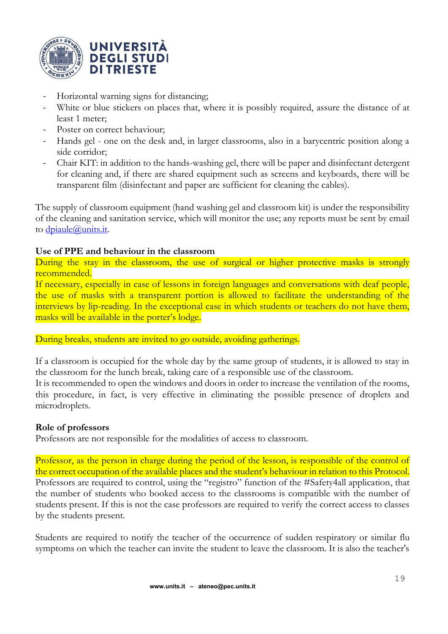![](_page_18_Picture_0.jpeg)

- Horizontal warning signs for distancing;
- White or blue stickers on places that, where it is possibly required, assure the distance of at least 1 meter;
- Poster on correct behaviour;
- Hands gel one on the desk and, in larger classrooms, also in a barycentric position along a side corridor;
- Chair KIT: in addition to the hands-washing gel, there will be paper and disinfectant detergent for cleaning and, if there are shared equipment such as screens and keyboards, there will be transparent film (disinfectant and paper are sufficient for cleaning the cables).

The supply of classroom equipment (hand washing gel and classroom kit) is under the responsibility of the cleaning and sanitation service, which will monitor the use; any reports must be sent by email to *dpiaule@units.it.* 

### **Use of PPE and behaviour in the classroom**

During the stay in the classroom, the use of surgical or higher protective masks is strongly recommended.

If necessary, especially in case of lessons in foreign languages and conversations with deaf people, the use of masks with a transparent portion is allowed to facilitate the understanding of the interviews by lip-reading. In the exceptional case in which students or teachers do not have them, masks will be available in the porter's lodge.

During breaks, students are invited to go outside, avoiding gatherings.

If a classroom is occupied for the whole day by the same group of students, it is allowed to stay in the classroom for the lunch break, taking care of a responsible use of the classroom.

It is recommended to open the windows and doors in order to increase the ventilation of the rooms, this procedure, in fact, is very effective in eliminating the possible presence of droplets and microdroplets.

### **Role of professors**

Professors are not responsible for the modalities of access to classroom.

Professor, as the person in charge during the period of the lesson, is responsible of the control of the correct occupation of the available places and the student's behaviour in relation to this Protocol. Professors are required to control, using the "registro" function of the #Safety4all application, that the number of students who booked access to the classrooms is compatible with the number of students present. If this is not the case professors are required to verify the correct access to classes by the students present.

Students are required to notify the teacher of the occurrence of sudden respiratory or similar flu symptoms on which the teacher can invite the student to leave the classroom. It is also the teacher's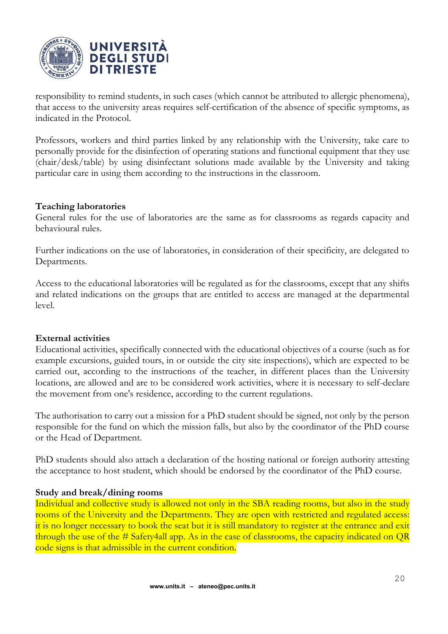![](_page_19_Picture_0.jpeg)

responsibility to remind students, in such cases (which cannot be attributed to allergic phenomena), that access to the university areas requires self-certification of the absence of specific symptoms, as indicated in the Protocol.

Professors, workers and third parties linked by any relationship with the University, take care to personally provide for the disinfection of operating stations and functional equipment that they use (chair/desk/table) by using disinfectant solutions made available by the University and taking particular care in using them according to the instructions in the classroom.

### **Teaching laboratories**

General rules for the use of laboratories are the same as for classrooms as regards capacity and behavioural rules.

Further indications on the use of laboratories, in consideration of their specificity, are delegated to Departments.

Access to the educational laboratories will be regulated as for the classrooms, except that any shifts and related indications on the groups that are entitled to access are managed at the departmental level.

#### **External activities**

Educational activities, specifically connected with the educational objectives of a course (such as for example excursions, guided tours, in or outside the city site inspections), which are expected to be carried out, according to the instructions of the teacher, in different places than the University locations, are allowed and are to be considered work activities, where it is necessary to self-declare the movement from one's residence, according to the current regulations.

The authorisation to carry out a mission for a PhD student should be signed, not only by the person responsible for the fund on which the mission falls, but also by the coordinator of the PhD course or the Head of Department.

PhD students should also attach a declaration of the hosting national or foreign authority attesting the acceptance to host student, which should be endorsed by the coordinator of the PhD course.

#### **Study and break/dining rooms**

Individual and collective study is allowed not only in the SBA reading rooms, but also in the study rooms of the University and the Departments. They are open with restricted and regulated access: it is no longer necessary to book the seat but it is still mandatory to register at the entrance and exit through the use of the # Safety4all app. As in the case of classrooms, the capacity indicated on QR code signs is that admissible in the current condition.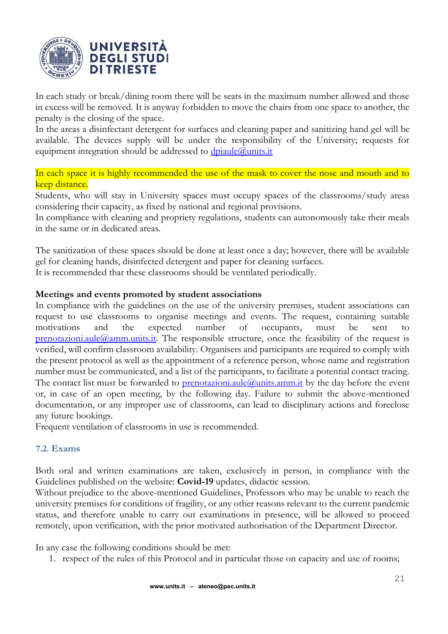![](_page_20_Picture_0.jpeg)

In each study or break/dining room there will be seats in the maximum number allowed and those in excess will be removed. It is anyway forbidden to move the chairs from one space to another, the penalty is the closing of the space.

In the areas a disinfectant detergent for surfaces and cleaning paper and sanitizing hand gel will be available. The devices supply will be under the responsibility of the University; requests for equipment integration should be addressed to **dpiaule@units.it** 

In each space it is highly recommended the use of the mask to cover the nose and mouth and to keep distance.

Students, who will stay in University spaces must occupy spaces of the classrooms/study areas considering their capacity, as fixed by national and regional provisions.

In compliance with cleaning and propriety regulations, students can autonomously take their meals in the same or in dedicated areas.

The sanitization of these spaces should be done at least once a day; however, there will be available gel for cleaning hands, disinfected detergent and paper for cleaning surfaces.

It is recommended that these classrooms should be ventilated periodically.

### **Meetings and events promoted by student associations**

In compliance with the guidelines on the use of the university premises, student associations can request to use classrooms to organise meetings and events. The request, containing suitable motivations and the expected number of occupants, must be sent to  $p$ renotazioni.aule $@$ amm.units.it. The responsible structure, once the feasibility of the request is verified, will confirm classroom availability. Organisers and participants are required to comply with the present protocol as well as the appointment of a reference person, whose name and registration number must be communicated, and a list of the participants, to facilitate a potential contact tracing. The contact list must be forwarded to **prenotazioni.aule** $@$ *units.amm.it* by the day before the event or, in case of an open meeting, by the following day. Failure to submit the above-mentioned documentation, or any improper use of classrooms, can lead to disciplinary actions and foreclose any future bookings.

Frequent ventilation of classrooms in use is recommended.

### <span id="page-20-0"></span>**7.2. Exams**

Both oral and written examinations are taken, exclusively in person, in compliance with the Guidelines published on the website: **Covid-19** updates, didactic session.

Without prejudice to the above-mentioned Guidelines, Professors who may be unable to reach the university premises for conditions of fragility, or any other reasons relevant to the current pandemic status, and therefore unable to carry out examinations in presence, will be allowed to proceed remotely, upon verification, with the prior motivated authorisation of the Department Director.

In any case the following conditions should be met:

1. respect of the rules of this Protocol and in particular those on capacity and use of rooms;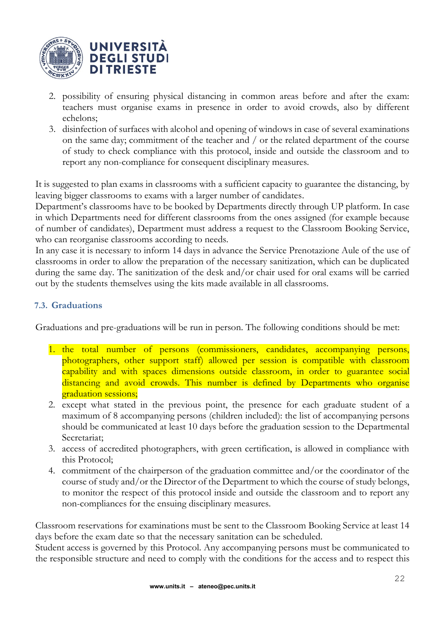![](_page_21_Picture_0.jpeg)

- 2. possibility of ensuring physical distancing in common areas before and after the exam: teachers must organise exams in presence in order to avoid crowds, also by different echelons;
- 3. disinfection of surfaces with alcohol and opening of windows in case of several examinations on the same day; commitment of the teacher and / or the related department of the course of study to check compliance with this protocol, inside and outside the classroom and to report any non-compliance for consequent disciplinary measures.

It is suggested to plan exams in classrooms with a sufficient capacity to guarantee the distancing, by leaving bigger classrooms to exams with a larger number of candidates.

Department's classrooms have to be booked by Departments directly through UP platform. In case in which Departments need for different classrooms from the ones assigned (for example because of number of candidates), Department must address a request to the Classroom Booking Service, who can reorganise classrooms according to needs.

In any case it is necessary to inform 14 days in advance the Service Prenotazione Aule of the use of classrooms in order to allow the preparation of the necessary sanitization, which can be duplicated during the same day. The sanitization of the desk and/or chair used for oral exams will be carried out by the students themselves using the kits made available in all classrooms.

# <span id="page-21-0"></span>**7.3. Graduations**

Graduations and pre-graduations will be run in person. The following conditions should be met:

- 1. the total number of persons (commissioners, candidates, accompanying persons, photographers, other support staff) allowed per session is compatible with classroom capability and with spaces dimensions outside classroom, in order to guarantee social distancing and avoid crowds. This number is defined by Departments who organise graduation sessions;
- 2. except what stated in the previous point, the presence for each graduate student of a maximum of 8 accompanying persons (children included): the list of accompanying persons should be communicated at least 10 days before the graduation session to the Departmental Secretariat;
- 3. access of accredited photographers, with green certification, is allowed in compliance with this Protocol;
- 4. commitment of the chairperson of the graduation committee and/or the coordinator of the course of study and/or the Director of the Department to which the course of study belongs, to monitor the respect of this protocol inside and outside the classroom and to report any non-compliances for the ensuing disciplinary measures.

Classroom reservations for examinations must be sent to the Classroom Booking Service at least 14 days before the exam date so that the necessary sanitation can be scheduled.

Student access is governed by this Protocol. Any accompanying persons must be communicated to the responsible structure and need to comply with the conditions for the access and to respect this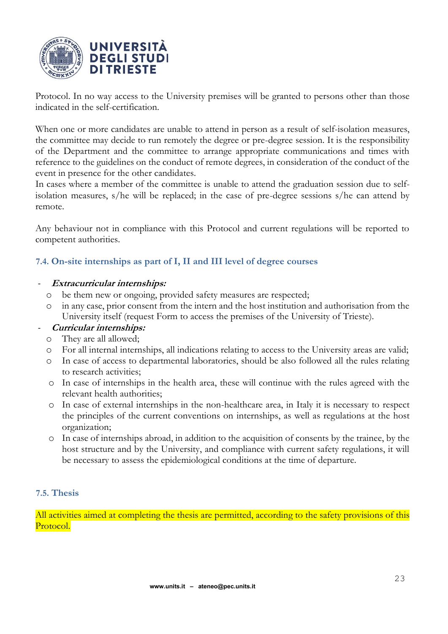![](_page_22_Picture_0.jpeg)

Protocol. In no way access to the University premises will be granted to persons other than those indicated in the self-certification.

When one or more candidates are unable to attend in person as a result of self-isolation measures, the committee may decide to run remotely the degree or pre-degree session. It is the responsibility of the Department and the committee to arrange appropriate communications and times with reference to the guidelines on the conduct of remote degrees, in consideration of the conduct of the event in presence for the other candidates.

In cases where a member of the committee is unable to attend the graduation session due to selfisolation measures, s/he will be replaced; in the case of pre-degree sessions s/he can attend by remote.

Any behaviour not in compliance with this Protocol and current regulations will be reported to competent authorities.

# <span id="page-22-0"></span>**7.4. On-site internships as part of I, II and III level of degree courses**

### - **Extracurricular internships:**

- o be them new or ongoing, provided safety measures are respected;
- in any case, prior consent from the intern and the host institution and authorisation from the University itself (request Form to access the premises of the University of Trieste).

### - **Curricular internships:**

- o They are all allowed;
- o For all internal internships, all indications relating to access to the University areas are valid;
- In case of access to departmental laboratories, should be also followed all the rules relating to research activities;
- o In case of internships in the health area, these will continue with the rules agreed with the relevant health authorities;
- o In case of external internships in the non-healthcare area, in Italy it is necessary to respect the principles of the current conventions on internships, as well as regulations at the host organization;
- o In case of internships abroad, in addition to the acquisition of consents by the trainee, by the host structure and by the University, and compliance with current safety regulations, it will be necessary to assess the epidemiological conditions at the time of departure.

### <span id="page-22-1"></span>**7.5. Thesis**

All activities aimed at completing the thesis are permitted, according to the safety provisions of this Protocol.